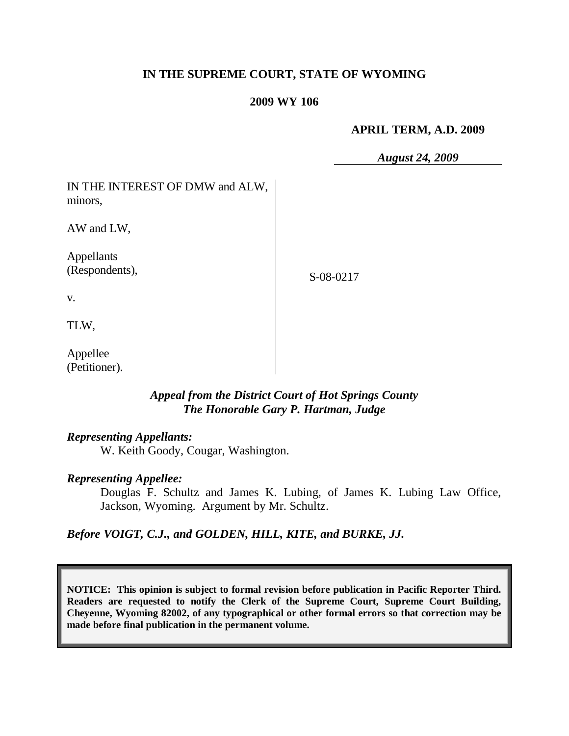## **IN THE SUPREME COURT, STATE OF WYOMING**

#### **2009 WY 106**

#### **APRIL TERM, A.D. 2009**

*August 24, 2009*

| IN THE INTEREST OF DMW and ALW,<br>minors, |           |
|--------------------------------------------|-----------|
| AW and LW,                                 |           |
| Appellants<br>(Respondents),               | S-08-0217 |
| V.                                         |           |
| TLW,                                       |           |
| Appellee<br>(Petitioner).                  |           |

## *Appeal from the District Court of Hot Springs County The Honorable Gary P. Hartman, Judge*

#### *Representing Appellants:*

W. Keith Goody, Cougar, Washington.

#### *Representing Appellee:*

Douglas F. Schultz and James K. Lubing, of James K. Lubing Law Office, Jackson, Wyoming. Argument by Mr. Schultz.

*Before VOIGT, C.J., and GOLDEN, HILL, KITE, and BURKE, JJ.*

**NOTICE: This opinion is subject to formal revision before publication in Pacific Reporter Third. Readers are requested to notify the Clerk of the Supreme Court, Supreme Court Building, Cheyenne, Wyoming 82002, of any typographical or other formal errors so that correction may be made before final publication in the permanent volume.**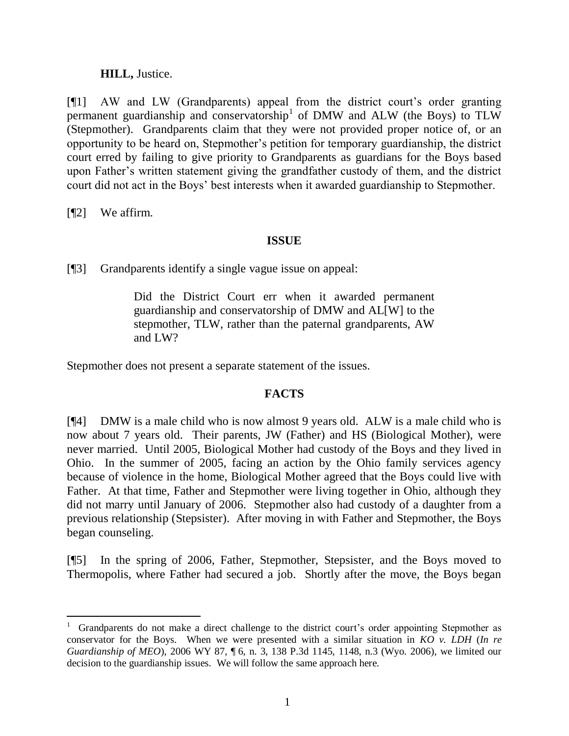## **HILL,** Justice.

[¶1] AW and LW (Grandparents) appeal from the district court's order granting permanent guardianship and conservatorship<sup>1</sup> of DMW and ALW (the Boys) to TLW (Stepmother). Grandparents claim that they were not provided proper notice of, or an opportunity to be heard on, Stepmother's petition for temporary guardianship, the district court erred by failing to give priority to Grandparents as guardians for the Boys based upon Father's written statement giving the grandfather custody of them, and the district court did not act in the Boys' best interests when it awarded guardianship to Stepmother.

[¶2] We affirm.

## **ISSUE**

[¶3] Grandparents identify a single vague issue on appeal:

Did the District Court err when it awarded permanent guardianship and conservatorship of DMW and AL[W] to the stepmother, TLW, rather than the paternal grandparents, AW and LW?

Stepmother does not present a separate statement of the issues.

## **FACTS**

[¶4] DMW is a male child who is now almost 9 years old. ALW is a male child who is now about 7 years old. Their parents, JW (Father) and HS (Biological Mother), were never married. Until 2005, Biological Mother had custody of the Boys and they lived in Ohio. In the summer of 2005, facing an action by the Ohio family services agency because of violence in the home, Biological Mother agreed that the Boys could live with Father. At that time, Father and Stepmother were living together in Ohio, although they did not marry until January of 2006. Stepmother also had custody of a daughter from a previous relationship (Stepsister). After moving in with Father and Stepmother, the Boys began counseling.

[¶5] In the spring of 2006, Father, Stepmother, Stepsister, and the Boys moved to Thermopolis, where Father had secured a job. Shortly after the move, the Boys began

 $\overline{a}$ 1 Grandparents do not make a direct challenge to the district court's order appointing Stepmother as conservator for the Boys. When we were presented with a similar situation in *KO v. LDH* (*In re Guardianship of MEO*), 2006 WY 87, ¶ 6, n. 3, 138 P.3d 1145, 1148, n.3 (Wyo. 2006), we limited our decision to the guardianship issues. We will follow the same approach here.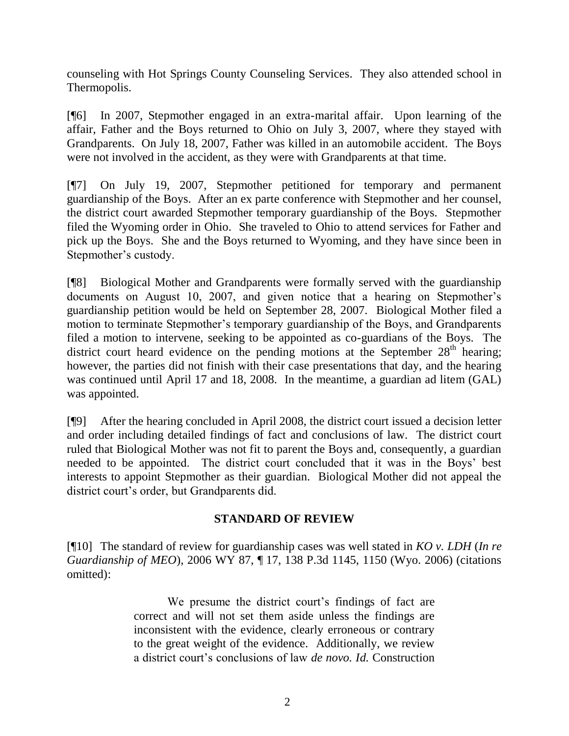counseling with Hot Springs County Counseling Services. They also attended school in Thermopolis.

[¶6] In 2007, Stepmother engaged in an extra-marital affair. Upon learning of the affair, Father and the Boys returned to Ohio on July 3, 2007, where they stayed with Grandparents. On July 18, 2007, Father was killed in an automobile accident. The Boys were not involved in the accident, as they were with Grandparents at that time.

[¶7] On July 19, 2007, Stepmother petitioned for temporary and permanent guardianship of the Boys. After an ex parte conference with Stepmother and her counsel, the district court awarded Stepmother temporary guardianship of the Boys. Stepmother filed the Wyoming order in Ohio. She traveled to Ohio to attend services for Father and pick up the Boys. She and the Boys returned to Wyoming, and they have since been in Stepmother's custody.

[¶8] Biological Mother and Grandparents were formally served with the guardianship documents on August 10, 2007, and given notice that a hearing on Stepmother's guardianship petition would be held on September 28, 2007. Biological Mother filed a motion to terminate Stepmother's temporary guardianship of the Boys, and Grandparents filed a motion to intervene, seeking to be appointed as co-guardians of the Boys. The district court heard evidence on the pending motions at the September  $28<sup>th</sup>$  hearing; however, the parties did not finish with their case presentations that day, and the hearing was continued until April 17 and 18, 2008. In the meantime, a guardian ad litem (GAL) was appointed.

[¶9] After the hearing concluded in April 2008, the district court issued a decision letter and order including detailed findings of fact and conclusions of law. The district court ruled that Biological Mother was not fit to parent the Boys and, consequently, a guardian needed to be appointed. The district court concluded that it was in the Boys' best interests to appoint Stepmother as their guardian. Biological Mother did not appeal the district court's order, but Grandparents did.

## **STANDARD OF REVIEW**

[¶10] The standard of review for guardianship cases was well stated in *KO v. LDH* (*In re Guardianship of MEO*), 2006 WY 87, ¶ 17, 138 P.3d 1145, 1150 (Wyo. 2006) (citations omitted):

> We presume the district court's findings of fact are correct and will not set them aside unless the findings are inconsistent with the evidence, clearly erroneous or contrary to the great weight of the evidence. Additionally, we review a district court's conclusions of law *de novo. Id.* Construction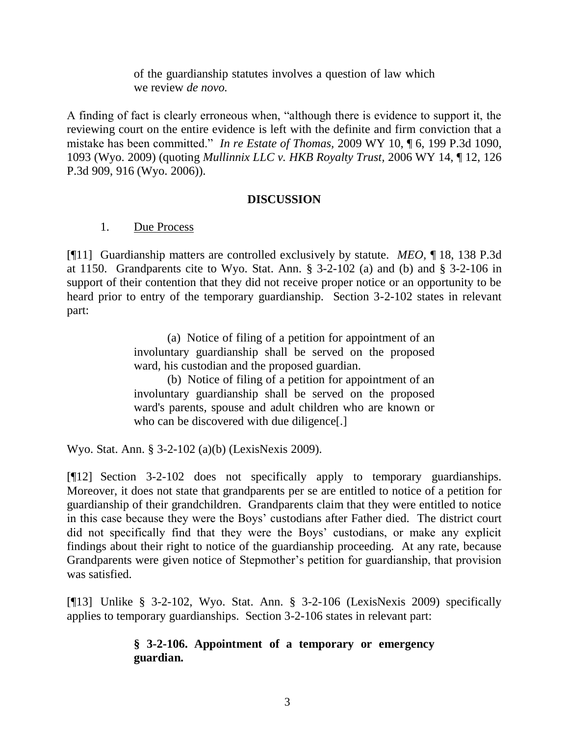of the guardianship statutes involves a question of law which we review *de novo.*

A finding of fact is clearly erroneous when, "although there is evidence to support it, the reviewing court on the entire evidence is left with the definite and firm conviction that a mistake has been committed." *In re Estate of Thomas,* 2009 WY 10, ¶ 6, 199 P.3d 1090, 1093 (Wyo. 2009) (quoting *Mullinnix LLC v. HKB Royalty Trust,* 2006 WY 14, ¶ 12, 126 P.3d 909, 916 (Wyo. 2006)).

## **DISCUSSION**

## 1. Due Process

[¶11] Guardianship matters are controlled exclusively by statute. *MEO,* ¶ 18, 138 P.3d at 1150. Grandparents cite to Wyo. Stat. Ann. § 3-2-102 (a) and (b) and § 3-2-106 in support of their contention that they did not receive proper notice or an opportunity to be heard prior to entry of the temporary guardianship. Section 3-2-102 states in relevant part:

> (a) Notice of filing of a petition for appointment of an involuntary guardianship shall be served on the proposed ward, his custodian and the proposed guardian.

> (b) Notice of filing of a petition for appointment of an involuntary guardianship shall be served on the proposed ward's parents, spouse and adult children who are known or who can be discovered with due diligence.

Wyo. Stat. Ann. § 3-2-102 (a)(b) (LexisNexis 2009).

[¶12] Section 3-2-102 does not specifically apply to temporary guardianships. Moreover, it does not state that grandparents per se are entitled to notice of a petition for guardianship of their grandchildren. Grandparents claim that they were entitled to notice in this case because they were the Boys' custodians after Father died. The district court did not specifically find that they were the Boys' custodians, or make any explicit findings about their right to notice of the guardianship proceeding. At any rate, because Grandparents were given notice of Stepmother's petition for guardianship, that provision was satisfied.

[¶13] Unlike § 3-2-102, Wyo. Stat. Ann. § 3-2-106 (LexisNexis 2009) specifically applies to temporary guardianships. Section 3-2-106 states in relevant part:

## **§ 3-2-106. Appointment of a temporary or emergency guardian.**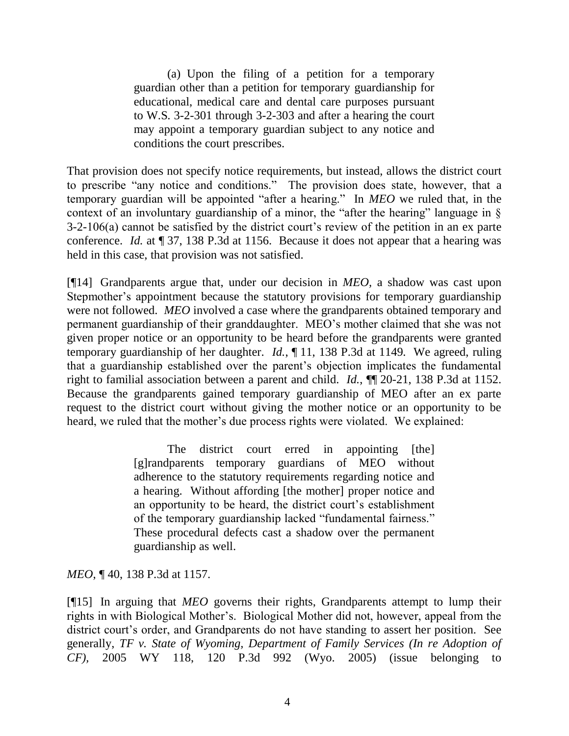(a) Upon the filing of a petition for a temporary guardian other than a petition for temporary guardianship for educational, medical care and dental care purposes pursuant to [W.S. 3-2-301](http://www.westlaw.com/Find/Default.wl?rs=dfa1.0&vr=2.0&DB=1000377&DocName=WYSTS3-2-301&FindType=Y) through [3-2-303](http://www.westlaw.com/Find/Default.wl?rs=dfa1.0&vr=2.0&DB=1000377&DocName=WYSTS3-2-303&FindType=Y) and after a hearing the court may appoint a temporary guardian subject to any notice and conditions the court prescribes.

That provision does not specify notice requirements, but instead, allows the district court to prescribe "any notice and conditions." The provision does state, however, that a temporary guardian will be appointed "after a hearing." In *MEO* we ruled that, in the context of an involuntary guardianship of a minor, the "after the hearing" language in § 3-2-106(a) cannot be satisfied by the district court's review of the petition in an ex parte conference. *Id.* at ¶ 37, 138 P.3d at 1156. Because it does not appear that a hearing was held in this case, that provision was not satisfied.

[¶14] Grandparents argue that, under our decision in *MEO,* a shadow was cast upon Stepmother's appointment because the statutory provisions for temporary guardianship were not followed. *MEO* involved a case where the grandparents obtained temporary and permanent guardianship of their granddaughter. MEO's mother claimed that she was not given proper notice or an opportunity to be heard before the grandparents were granted temporary guardianship of her daughter. *Id.*, ¶ 11, 138 P.3d at 1149. We agreed, ruling that a guardianship established over the parent's objection implicates the fundamental right to familial association between a parent and child. *Id.*, ¶¶ 20-21, 138 P.3d at 1152. Because the grandparents gained temporary guardianship of MEO after an ex parte request to the district court without giving the mother notice or an opportunity to be heard, we ruled that the mother's due process rights were violated. We explained:

> The district court erred in appointing [the] [g]randparents temporary guardians of MEO without adherence to the statutory requirements regarding notice and a hearing. Without affording [the mother] proper notice and an opportunity to be heard, the district court's establishment of the temporary guardianship lacked "fundamental fairness." These procedural defects cast a shadow over the permanent guardianship as well.

*MEO*, ¶ 40, 138 P.3d at 1157.

[¶15] In arguing that *MEO* governs their rights, Grandparents attempt to lump their rights in with Biological Mother's. Biological Mother did not, however, appeal from the district court's order, and Grandparents do not have standing to assert her position. See generally, *TF v. State of Wyoming, Department of Family Services (In re Adoption of CF),* 2005 WY 118, 120 P.3d 992 (Wyo. 2005) (issue belonging to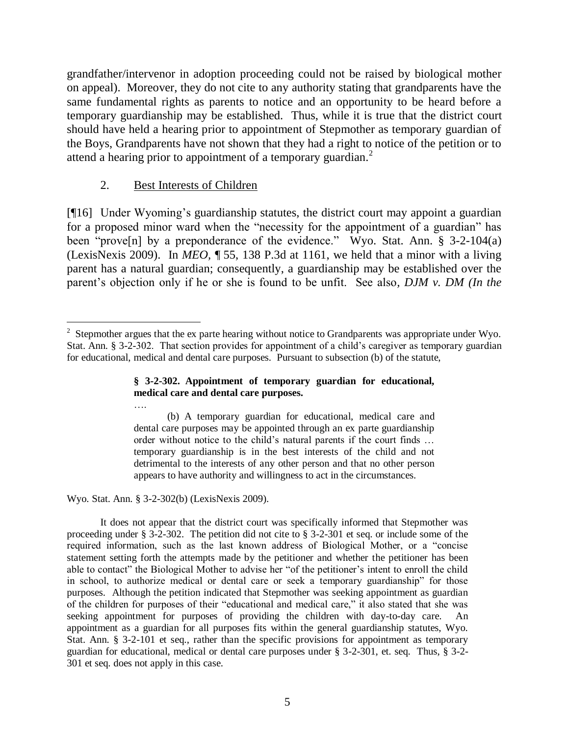grandfather/intervenor in adoption proceeding could not be raised by biological mother on appeal). Moreover, they do not cite to any authority stating that grandparents have the same fundamental rights as parents to notice and an opportunity to be heard before a temporary guardianship may be established. Thus, while it is true that the district court should have held a hearing prior to appointment of Stepmother as temporary guardian of the Boys, Grandparents have not shown that they had a right to notice of the petition or to attend a hearing prior to appointment of a temporary guardian.<sup>2</sup>

## 2. Best Interests of Children

[¶16] Under Wyoming's guardianship statutes, the district court may appoint a guardian for a proposed minor ward when the "necessity for the appointment of a guardian" has been "prove<sup>[n]</sup> by a preponderance of the evidence." [Wyo. Stat. Ann. § 3-2-104\(](http://www.westlaw.com/Find/Default.wl?rs=dfa1.0&vr=2.0&DB=1000377&DocName=WYSTS3-2-104&FindType=L)a) (LexisNexis 2009). In *MEO,* ¶ 55, 138 P.3d at 1161, we held that a minor with a living parent has a natural guardian; consequently, a guardianship may be established over the parent's objection only if he or she is found to be unfit. See also*, DJM v. DM (In the* 

#### **§ 3-2-302. Appointment of temporary guardian for educational, medical care and dental care purposes.**

(b) A temporary guardian for educational, medical care and dental care purposes may be appointed through an ex parte guardianship order without notice to the child's natural parents if the court finds … temporary guardianship is in the best interests of the child and not detrimental to the interests of any other person and that no other person appears to have authority and willingness to act in the circumstances.

Wyo. Stat. Ann. § 3-2-302(b) (LexisNexis 2009).

….

It does not appear that the district court was specifically informed that Stepmother was proceeding under § 3-2-302. The petition did not cite to § 3-2-301 et seq. or include some of the required information, such as the last known address of Biological Mother, or a "concise statement setting forth the attempts made by the petitioner and whether the petitioner has been able to contact" the Biological Mother to advise her "of the petitioner's intent to enroll the child in school, to authorize medical or dental care or seek a temporary guardianship" for those purposes. Although the petition indicated that Stepmother was seeking appointment as guardian of the children for purposes of their "educational and medical care," it also stated that she was seeking appointment for purposes of providing the children with day-to-day care. An appointment as a guardian for all purposes fits within the general guardianship statutes, Wyo. Stat. Ann. § 3-2-101 et seq., rather than the specific provisions for appointment as temporary guardian for educational, medical or dental care purposes under § 3-2-301, et. seq. Thus, § 3-2- 301 et seq. does not apply in this case.

 $\overline{a}$ <sup>2</sup> Stepmother argues that the ex parte hearing without notice to Grandparents was appropriate under Wyo. Stat. Ann. § 3-2-302. That section provides for appointment of a child's caregiver as temporary guardian for educational, medical and dental care purposes. Pursuant to subsection (b) of the statute,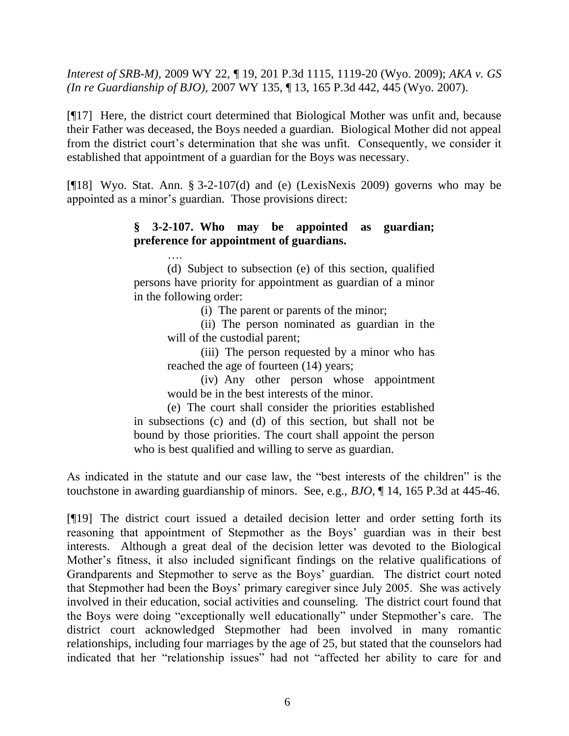*Interest of SRB-M),* 2009 WY 22, ¶ 19, 201 P.3d 1115, 1119-20 (Wyo. 2009); *AKA v. GS (In re Guardianship of BJO),* 2007 WY 135, ¶ 13, 165 P.3d 442, 445 (Wyo. 2007).

[¶17] Here, the district court determined that Biological Mother was unfit and, because their Father was deceased, the Boys needed a guardian. Biological Mother did not appeal from the district court's determination that she was unfit. Consequently, we consider it established that appointment of a guardian for the Boys was necessary.

[ $[18]$  Wyo. Stat. Ann. § 3-2-107(d) and (e) (LexisNexis 2009) governs who may be appointed as a minor's guardian. Those provisions direct:

# **§ 3-2-107. Who may be appointed as guardian; preference for appointment of guardians.**

…. (d) Subject to subsection (e) of this section, qualified persons have priority for appointment as guardian of a minor in the following order:

(i) The parent or parents of the minor;

(ii) The person nominated as guardian in the will of the custodial parent;

(iii) The person requested by a minor who has reached the age of fourteen (14) years;

(iv) Any other person whose appointment would be in the best interests of the minor.

(e) The court shall consider the priorities established in subsections (c) and (d) of this section, but shall not be bound by those priorities. The court shall appoint the person who is best qualified and willing to serve as guardian.

As indicated in the statute and our case law, the "best interests of the children" is the touchstone in awarding guardianship of minors. See, e.g., *BJO*, ¶ 14, 165 P.3d at 445-46.

[¶19] The district court issued a detailed decision letter and order setting forth its reasoning that appointment of Stepmother as the Boys' guardian was in their best interests. Although a great deal of the decision letter was devoted to the Biological Mother's fitness, it also included significant findings on the relative qualifications of Grandparents and Stepmother to serve as the Boys' guardian. The district court noted that Stepmother had been the Boys' primary caregiver since July 2005. She was actively involved in their education, social activities and counseling. The district court found that the Boys were doing "exceptionally well educationally" under Stepmother's care. The district court acknowledged Stepmother had been involved in many romantic relationships, including four marriages by the age of 25, but stated that the counselors had indicated that her "relationship issues" had not "affected her ability to care for and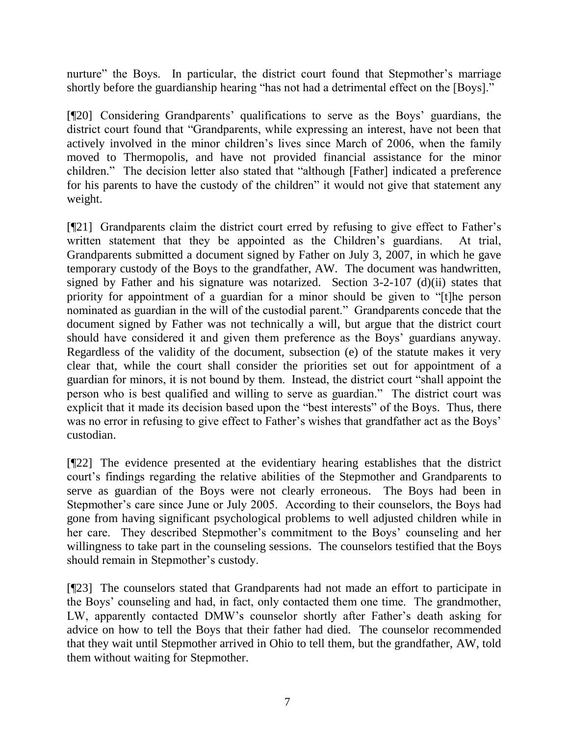nurture" the Boys. In particular, the district court found that Stepmother's marriage shortly before the guardianship hearing "has not had a detrimental effect on the [Boys]."

[¶20] Considering Grandparents' qualifications to serve as the Boys' guardians, the district court found that "Grandparents, while expressing an interest, have not been that actively involved in the minor children's lives since March of 2006, when the family moved to Thermopolis, and have not provided financial assistance for the minor children." The decision letter also stated that "although [Father] indicated a preference for his parents to have the custody of the children" it would not give that statement any weight.

[¶21] Grandparents claim the district court erred by refusing to give effect to Father's written statement that they be appointed as the Children's guardians. At trial, Grandparents submitted a document signed by Father on July 3, 2007, in which he gave temporary custody of the Boys to the grandfather, AW. The document was handwritten, signed by Father and his signature was notarized. Section 3-2-107 (d)(ii) states that priority for appointment of a guardian for a minor should be given to "[t]he person nominated as guardian in the will of the custodial parent." Grandparents concede that the document signed by Father was not technically a will, but argue that the district court should have considered it and given them preference as the Boys' guardians anyway. Regardless of the validity of the document, subsection (e) of the statute makes it very clear that, while the court shall consider the priorities set out for appointment of a guardian for minors, it is not bound by them. Instead, the district court "shall appoint the person who is best qualified and willing to serve as guardian." The district court was explicit that it made its decision based upon the "best interests" of the Boys. Thus, there was no error in refusing to give effect to Father's wishes that grandfather act as the Boys' custodian.

[¶22] The evidence presented at the evidentiary hearing establishes that the district court's findings regarding the relative abilities of the Stepmother and Grandparents to serve as guardian of the Boys were not clearly erroneous. The Boys had been in Stepmother's care since June or July 2005. According to their counselors, the Boys had gone from having significant psychological problems to well adjusted children while in her care. They described Stepmother's commitment to the Boys' counseling and her willingness to take part in the counseling sessions. The counselors testified that the Boys should remain in Stepmother's custody.

[¶23] The counselors stated that Grandparents had not made an effort to participate in the Boys' counseling and had, in fact, only contacted them one time. The grandmother, LW, apparently contacted DMW's counselor shortly after Father's death asking for advice on how to tell the Boys that their father had died. The counselor recommended that they wait until Stepmother arrived in Ohio to tell them, but the grandfather, AW, told them without waiting for Stepmother.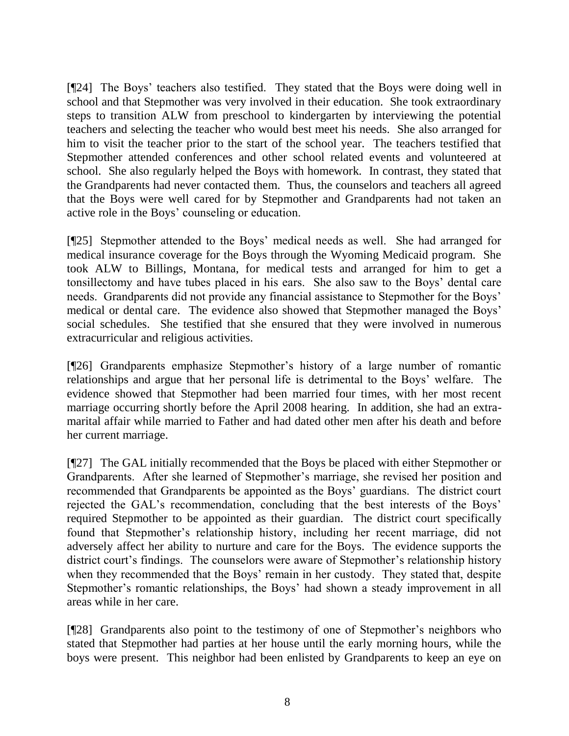[¶24] The Boys' teachers also testified. They stated that the Boys were doing well in school and that Stepmother was very involved in their education. She took extraordinary steps to transition ALW from preschool to kindergarten by interviewing the potential teachers and selecting the teacher who would best meet his needs. She also arranged for him to visit the teacher prior to the start of the school year. The teachers testified that Stepmother attended conferences and other school related events and volunteered at school. She also regularly helped the Boys with homework. In contrast, they stated that the Grandparents had never contacted them. Thus, the counselors and teachers all agreed that the Boys were well cared for by Stepmother and Grandparents had not taken an active role in the Boys' counseling or education.

[¶25] Stepmother attended to the Boys' medical needs as well. She had arranged for medical insurance coverage for the Boys through the Wyoming Medicaid program. She took ALW to Billings, Montana, for medical tests and arranged for him to get a tonsillectomy and have tubes placed in his ears. She also saw to the Boys' dental care needs. Grandparents did not provide any financial assistance to Stepmother for the Boys' medical or dental care. The evidence also showed that Stepmother managed the Boys' social schedules. She testified that she ensured that they were involved in numerous extracurricular and religious activities.

[¶26] Grandparents emphasize Stepmother's history of a large number of romantic relationships and argue that her personal life is detrimental to the Boys' welfare. The evidence showed that Stepmother had been married four times, with her most recent marriage occurring shortly before the April 2008 hearing. In addition, she had an extramarital affair while married to Father and had dated other men after his death and before her current marriage.

[¶27] The GAL initially recommended that the Boys be placed with either Stepmother or Grandparents. After she learned of Stepmother's marriage, she revised her position and recommended that Grandparents be appointed as the Boys' guardians. The district court rejected the GAL's recommendation, concluding that the best interests of the Boys' required Stepmother to be appointed as their guardian. The district court specifically found that Stepmother's relationship history, including her recent marriage, did not adversely affect her ability to nurture and care for the Boys. The evidence supports the district court's findings. The counselors were aware of Stepmother's relationship history when they recommended that the Boys' remain in her custody. They stated that, despite Stepmother's romantic relationships, the Boys' had shown a steady improvement in all areas while in her care.

[¶28] Grandparents also point to the testimony of one of Stepmother's neighbors who stated that Stepmother had parties at her house until the early morning hours, while the boys were present. This neighbor had been enlisted by Grandparents to keep an eye on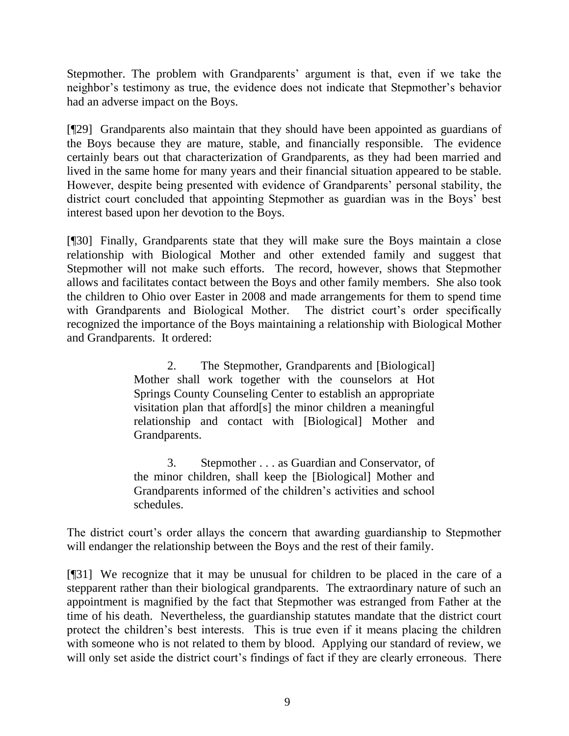Stepmother. The problem with Grandparents' argument is that, even if we take the neighbor's testimony as true, the evidence does not indicate that Stepmother's behavior had an adverse impact on the Boys.

[¶29] Grandparents also maintain that they should have been appointed as guardians of the Boys because they are mature, stable, and financially responsible. The evidence certainly bears out that characterization of Grandparents, as they had been married and lived in the same home for many years and their financial situation appeared to be stable. However, despite being presented with evidence of Grandparents' personal stability, the district court concluded that appointing Stepmother as guardian was in the Boys' best interest based upon her devotion to the Boys.

[¶30] Finally, Grandparents state that they will make sure the Boys maintain a close relationship with Biological Mother and other extended family and suggest that Stepmother will not make such efforts. The record, however, shows that Stepmother allows and facilitates contact between the Boys and other family members. She also took the children to Ohio over Easter in 2008 and made arrangements for them to spend time with Grandparents and Biological Mother. The district court's order specifically recognized the importance of the Boys maintaining a relationship with Biological Mother and Grandparents. It ordered:

> 2. The Stepmother, Grandparents and [Biological] Mother shall work together with the counselors at Hot Springs County Counseling Center to establish an appropriate visitation plan that afford[s] the minor children a meaningful relationship and contact with [Biological] Mother and Grandparents.

> 3. Stepmother . . . as Guardian and Conservator, of the minor children, shall keep the [Biological] Mother and Grandparents informed of the children's activities and school schedules.

The district court's order allays the concern that awarding guardianship to Stepmother will endanger the relationship between the Boys and the rest of their family.

[¶31] We recognize that it may be unusual for children to be placed in the care of a stepparent rather than their biological grandparents. The extraordinary nature of such an appointment is magnified by the fact that Stepmother was estranged from Father at the time of his death. Nevertheless, the guardianship statutes mandate that the district court protect the children's best interests. This is true even if it means placing the children with someone who is not related to them by blood. Applying our standard of review, we will only set aside the district court's findings of fact if they are clearly erroneous. There